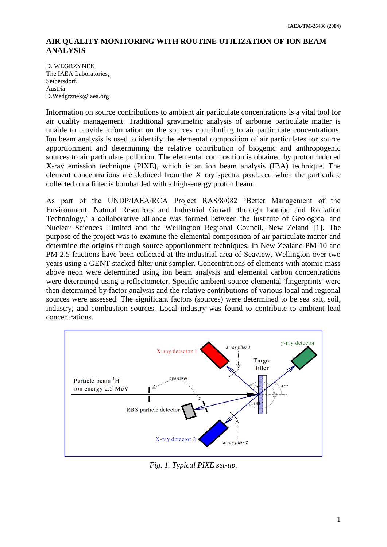## **AIR QUALITY MONITORING WITH ROUTINE UTILIZATION OF ION BEAM ANALYSIS**

D. WEGRZYNEK The IAEA Laboratories, Seibersdorf, Austria D.Wedgrznek@iaea.org

Information on source contributions to ambient air particulate concentrations is a vital tool for air quality management. Traditional gravimetric analysis of airborne particulate matter is unable to provide information on the sources contributing to air particulate concentrations. Ion beam analysis is used to identify the elemental composition of air particulates for source apportionment and determining the relative contribution of biogenic and anthropogenic sources to air particulate pollution. The elemental composition is obtained by proton induced X-ray emission technique (PIXE), which is an ion beam analysis (IBA) technique. The element concentrations are deduced from the X ray spectra produced when the particulate collected on a filter is bombarded with a high-energy proton beam.

As part of the UNDP/IAEA/RCA Project RAS/8/082 'Better Management of the Environment, Natural Resources and Industrial Growth through Isotope and Radiation Technology,' a collaborative alliance was formed between the Institute of Geological and Nuclear Sciences Limited and the Wellington Regional Council, New Zeland [1]. The purpose of the project was to examine the elemental composition of air particulate matter and determine the origins through source apportionment techniques. In New Zealand PM 10 and PM 2.5 fractions have been collected at the industrial area of Seaview, Wellington over two years using a GENT stacked filter unit sampler. Concentrations of elements with atomic mass above neon were determined using ion beam analysis and elemental carbon concentrations were determined using a reflectometer. Specific ambient source elemental 'fingerprints' were then determined by factor analysis and the relative contributions of various local and regional sources were assessed. The significant factors (sources) were determined to be sea salt, soil, industry, and combustion sources. Local industry was found to contribute to ambient lead concentrations.



*Fig. 1. Typical PIXE set-up.*